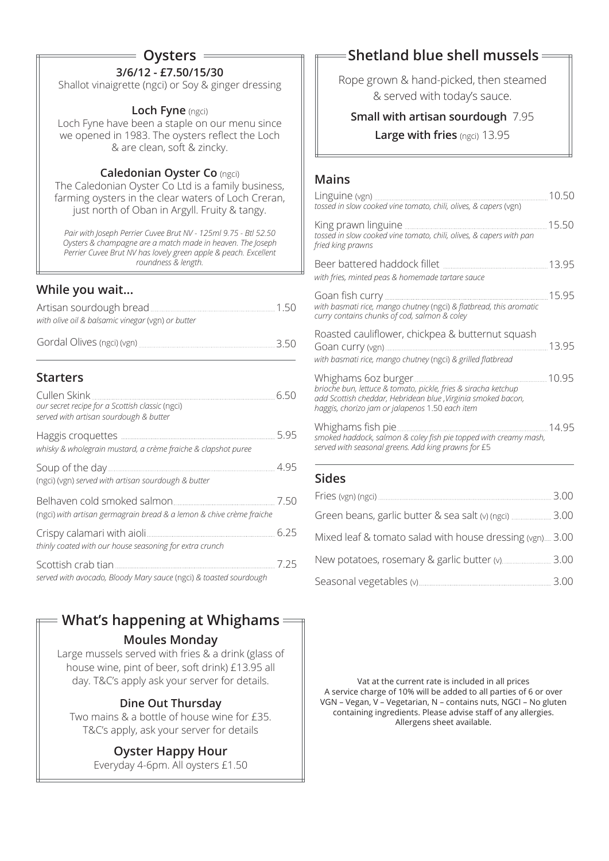# **Oysters**

# **3/6/12 - £7.50/15/30**

Shallot vinaigrette (ngci) or Soy & ginger dressing

#### **Loch Fyne** (ngci)

Loch Fyne have been a staple on our menu since we opened in 1983. The oysters reflect the Loch & are clean, soft & zincky.

#### **Caledonian Oyster Co** (ngci)

The Caledonian Oyster Co Ltd is a family business, farming oysters in the clear waters of Loch Creran, just north of Oban in Argyll. Fruity & tangy.

*Pair with Joseph Perrier Cuvee Brut NV - 125ml 9.75 - Btl 52.50 Oysters & champagne are a match made in heaven. The Joseph Perrier Cuvee Brut NV has lovely green apple & peach. Excellent roundness & length.* 

# **While you wait...**

| Artisan sourdough bread                           | 150 |
|---------------------------------------------------|-----|
| with olive oil & balsamic vinegar (vgn) or butter |     |
| Gordal Olives (ngci) (vgn)                        | 350 |

# **Starters**

| Cullen Skink<br>our secret recipe for a Scottish classic (ngci)<br>served with artisan sourdough & butter | 6.50 |
|-----------------------------------------------------------------------------------------------------------|------|
| whisky & wholegrain mustard, a crème fraiche & clapshot puree                                             | 5.95 |
| (ngci) (vgn) served with artisan sourdough & butter                                                       | 4.95 |
| (ngci) with artisan germagrain bread & a lemon & chive crème fraiche                                      | 7.50 |
| thinly coated with our house seasoning for extra crunch                                                   | 6.25 |
| served with avocado, Bloody Mary sauce (ngci) & toasted sourdough                                         | 7.25 |

# **What's happening at Whighams**

#### **Moules Monday**

Large mussels served with fries & a drink (glass of house wine, pint of beer, soft drink) £13.95 all day. T&C's apply ask your server for details.

# **Dine Out Thursday**

Two mains & a bottle of house wine for £35. T&C's apply, ask your server for details

# **Oyster Happy Hour**

Everyday 4-6pm. All oysters £1.50

# **Shetland blue shell mussels**

Rope grown & hand-picked, then steamed & served with today's sauce.

# **Small with artisan sourdough** 7.95

#### **Large with fries** (ngci) 13.95

### **Mains**

| tossed in slow cooked vine tomato, chili, olives, & capers (vgn)                                                                                                                   | 10.50 |
|------------------------------------------------------------------------------------------------------------------------------------------------------------------------------------|-------|
| tossed in slow cooked vine tomato, chili, olives, & capers with pan<br>fried king prawns                                                                                           | 15.50 |
| with fries, minted peas & homemade tartare sauce                                                                                                                                   | 13.95 |
| with basmati rice, mango chutney (ngci) & flatbread, this aromatic<br>curry contains chunks of cod, salmon & coley                                                                 | 15.95 |
| Roasted cauliflower, chickpea & butternut squash<br>with basmati rice, mango chutney (ngci) & grilled flatbread                                                                    | 13.95 |
| brioche bun, lettuce & tomato, pickle, fries & siracha ketchup<br>add Scottish cheddar, Hebridean blue , Virginia smoked bacon,<br>haggis, chorizo jam or jalapenos 1.50 each item |       |
| 14.95<br>Whighams fish pie<br>smoked haddock, salmon & coley fish pie topped with creamy mash,<br>served with seasonal greens. Add king prawns for £5                              |       |
| <b>Sides</b>                                                                                                                                                                       |       |
|                                                                                                                                                                                    | 3.00  |
| Green beans, garlic butter & sea salt (v) (ngci)  3.00                                                                                                                             |       |
| Mixed leaf & tomato salad with house dressing (vgn) 3.00                                                                                                                           |       |

New potatoes, rosemary & garlic butter (v) 3.00

Seasonal vegetables (v) 3.00

Vat at the current rate is included in all prices A service charge of 10% will be added to all parties of 6 or over VGN – Vegan, V – Vegetarian, N – contains nuts, NGCI – No gluten containing ingredients. Please advise staff of any allergies. Allergens sheet available.